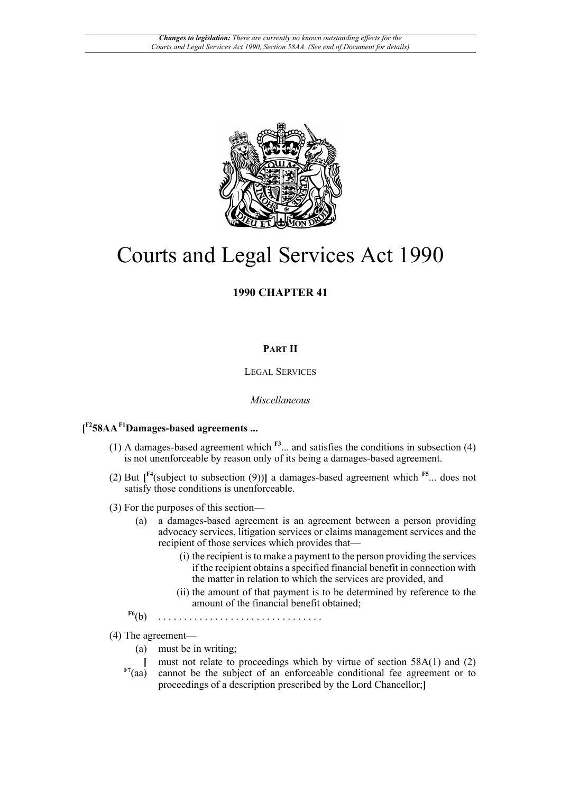

# Courts and Legal Services Act 1990

# **1990 CHAPTER 41**

## **PART II**

### LEGAL SERVICES

#### <span id="page-0-3"></span><span id="page-0-1"></span>*Miscellaneous*

## **[ [F2](#page-2-0)58AA[F1](#page-2-1)Damages-based agreements ...**

- <span id="page-0-0"></span>(1) A damages-based agreement which **[F3](#page-2-2)**... and satisfies the conditions in subsection (4) is not unenforceable by reason only of its being a damages-based agreement.
- <span id="page-0-2"></span>(2) But **[ [F4](#page-2-3)**(subject to subsection (9))**]** a damages-based agreement which **[F5](#page-2-4)**... does not satisfy those conditions is unenforceable.
- (3) For the purposes of this section—
	- (a) a damages-based agreement is an agreement between a person providing advocacy services, litigation services or claims management services and the recipient of those services which provides that—
		- (i) the recipient is to make a payment to the person providing the services if the recipient obtains a specified financial benefit in connection with the matter in relation to which the services are provided, and
		- (ii) the amount of that payment is to be determined by reference to the amount of the financial benefit obtained;
	- **[F6](#page-2-5)**(b) . . . . . . . . . . . . . . . . . . . . . . . . . . . . . . . .
- <span id="page-0-5"></span><span id="page-0-4"></span>(4) The agreement—
	- (a) must be in writing;
	- **[** must not relate to proceedings which by virtue of section 58A(1) and (2)
	- **[F7](#page-2-6)**(aa) cannot be the subject of an enforceable conditional fee agreement or to proceedings of a description prescribed by the Lord Chancellor;**]**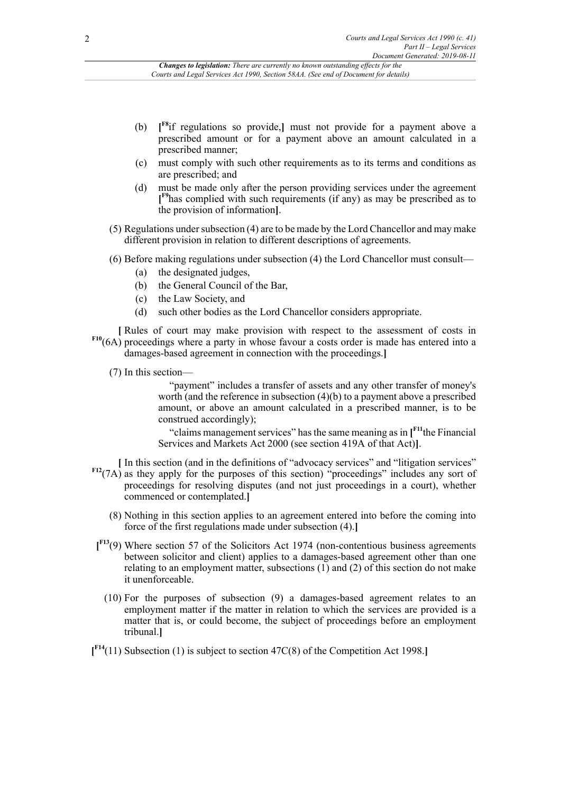#### *Changes to legislation: There are currently no known outstanding effects for the Courts and Legal Services Act 1990, Section 58AA. (See end of Document for details)*

- <span id="page-1-0"></span>(b) **[ [F8](#page-2-7)**if regulations so provide,**]** must not provide for a payment above a prescribed amount or for a payment above an amount calculated in a prescribed manner;
- (c) must comply with such other requirements as to its terms and conditions as are prescribed; and
- <span id="page-1-1"></span>(d) must be made only after the person providing services under the agreement **[ [F9](#page-2-8)**has complied with such requirements (if any) as may be prescribed as to the provision of information**]**.
- (5) Regulations under subsection (4) are to be made by the Lord Chancellor and may make different provision in relation to different descriptions of agreements.
- (6) Before making regulations under subsection (4) the Lord Chancellor must consult—
	- (a) the designated judges,
	- (b) the General Council of the Bar,
	- (c) the Law Society, and
	- (d) such other bodies as the Lord Chancellor considers appropriate.
- <span id="page-1-2"></span>**[** Rules of court may make provision with respect to the assessment of costs in **[F10](#page-2-9)**(6A) proceedings where a party in whose favour a costs order is made has entered into a damages-based agreement in connection with the proceedings.**]**
	- (7) In this section—

"payment" includes a transfer of assets and any other transfer of money's worth (and the reference in subsection (4)(b) to a payment above a prescribed amount, or above an amount calculated in a prescribed manner, is to be construed accordingly);

<span id="page-1-3"></span>"claims management services" has the same meaning as in **[ [F11](#page-2-10)** the Financial Services and Markets Act 2000 (see section 419A of that Act)**]**.

- **[** In this section (and in the definitions of "advocacy services" and "litigation services"
- <span id="page-1-4"></span>**[F12](#page-2-11)**(7A) as they apply for the purposes of this section) "proceedings" includes any sort of proceedings for resolving disputes (and not just proceedings in a court), whether commenced or contemplated.**]**
	- (8) Nothing in this section applies to an agreement entered into before the coming into force of the first regulations made under subsection (4).**]**
- <span id="page-1-5"></span>**[ [F13](#page-2-12)**(9) Where section 57 of the Solicitors Act 1974 (non-contentious business agreements between solicitor and client) applies to a damages-based agreement other than one relating to an employment matter, subsections (1) and (2) of this section do not make it unenforceable.
	- (10) For the purposes of subsection (9) a damages-based agreement relates to an employment matter if the matter in relation to which the services are provided is a matter that is, or could become, the subject of proceedings before an employment tribunal.**]**
- <span id="page-1-6"></span>**[ [F14](#page-2-13)**(11) Subsection (1) is subject to section 47C(8) of the Competition Act 1998.**]**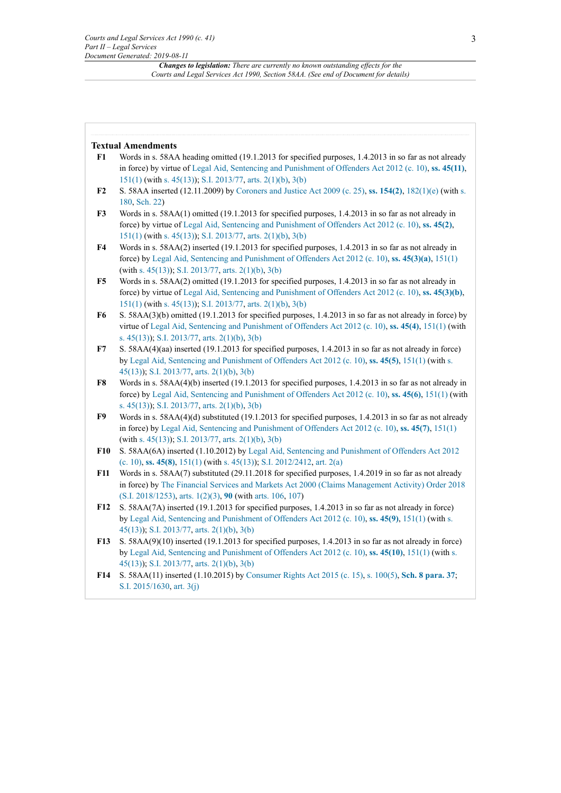*Changes to legislation: There are currently no known outstanding effects for the Courts and Legal Services Act 1990, Section 58AA. (See end of Document for details)*

#### **Textual Amendments**

- <span id="page-2-1"></span>**[F1](#page-0-0)** Words in s. 58AA heading omitted (19.1.2013 for specified purposes, 1.4.2013 in so far as not already in force) by virtue of Legal Aid, Sentencing and [Punishment](http://www.legislation.gov.uk/id/ukpga/2012/10) of Offenders Act 2012 (c. 10), **ss. [45\(11\)](http://www.legislation.gov.uk/id/ukpga/2012/10/section/45/11)**, [151\(1\)](http://www.legislation.gov.uk/id/ukpga/2012/10/section/151/1) (with [s. 45\(13\)](http://www.legislation.gov.uk/id/ukpga/2012/10/section/45/13)); [S.I. 2013/77](http://www.legislation.gov.uk/id/uksi/2013/77), [arts. 2\(1\)\(b\),](http://www.legislation.gov.uk/id/uksi/2013/77/article/2/1/b) [3\(b\)](http://www.legislation.gov.uk/id/uksi/2013/77/article/3/b)
- <span id="page-2-0"></span>**F2** S. 58AA inserted (12.11.2009) by [Coroners and Justice Act 2009 \(c. 25\)](http://www.legislation.gov.uk/id/ukpga/2009/25), **[ss. 154\(2\)](http://www.legislation.gov.uk/id/ukpga/2009/25/section/154/2)**, [182\(1\)\(e\)](http://www.legislation.gov.uk/id/ukpga/2009/25/section/182/1/e) (with [s.](http://www.legislation.gov.uk/id/ukpga/2009/25/section/180) [180](http://www.legislation.gov.uk/id/ukpga/2009/25/section/180), [Sch. 22\)](http://www.legislation.gov.uk/id/ukpga/2009/25/schedule/22)
- <span id="page-2-2"></span>**[F3](#page-0-1)** Words in s. 58AA(1) omitted (19.1.2013 for specified purposes, 1.4.2013 in so far as not already in force) by virtue of Legal Aid, Sentencing and [Punishment](http://www.legislation.gov.uk/id/ukpga/2012/10) of Offenders Act 2012 (c. 10), **[ss. 45\(2\)](http://www.legislation.gov.uk/id/ukpga/2012/10/section/45/2)**, [151\(1\)](http://www.legislation.gov.uk/id/ukpga/2012/10/section/151/1) (with [s. 45\(13\)](http://www.legislation.gov.uk/id/ukpga/2012/10/section/45/13)); [S.I. 2013/77](http://www.legislation.gov.uk/id/uksi/2013/77), [arts. 2\(1\)\(b\),](http://www.legislation.gov.uk/id/uksi/2013/77/article/2/1/b) [3\(b\)](http://www.legislation.gov.uk/id/uksi/2013/77/article/3/b)
- <span id="page-2-3"></span>**[F4](#page-0-2)** Words in s. 58AA(2) inserted (19.1.2013 for specified purposes, 1.4.2013 in so far as not already in force) by Legal Aid, Sentencing and [Punishment](http://www.legislation.gov.uk/id/ukpga/2012/10) of Offenders Act 2012 (c. 10), **[ss. 45\(3\)\(a\)](http://www.legislation.gov.uk/id/ukpga/2012/10/section/45/3/a)**, [151\(1\)](http://www.legislation.gov.uk/id/ukpga/2012/10/section/151/1) (with [s. 45\(13\)\)](http://www.legislation.gov.uk/id/ukpga/2012/10/section/45/13); [S.I. 2013/77,](http://www.legislation.gov.uk/id/uksi/2013/77) [arts. 2\(1\)\(b\)](http://www.legislation.gov.uk/id/uksi/2013/77/article/2/1/b), [3\(b\)](http://www.legislation.gov.uk/id/uksi/2013/77/article/3/b)
- <span id="page-2-4"></span>**[F5](#page-0-3)** Words in s. 58AA(2) omitted (19.1.2013 for specified purposes, 1.4.2013 in so far as not already in force) by virtue of Legal Aid, Sentencing and [Punishment](http://www.legislation.gov.uk/id/ukpga/2012/10) of Offenders Act 2012 (c. 10), **[ss. 45\(3\)\(b\)](http://www.legislation.gov.uk/id/ukpga/2012/10/section/45/3/b)**, [151\(1\)](http://www.legislation.gov.uk/id/ukpga/2012/10/section/151/1) (with [s. 45\(13\)](http://www.legislation.gov.uk/id/ukpga/2012/10/section/45/13)); [S.I. 2013/77](http://www.legislation.gov.uk/id/uksi/2013/77), [arts. 2\(1\)\(b\),](http://www.legislation.gov.uk/id/uksi/2013/77/article/2/1/b) [3\(b\)](http://www.legislation.gov.uk/id/uksi/2013/77/article/3/b)
- <span id="page-2-5"></span>**[F6](#page-0-4)** S. 58AA(3)(b) omitted (19.1.2013 for specified purposes, 1.4.2013 in so far as not already in force) by virtue of Legal Aid, Sentencing and [Punishment](http://www.legislation.gov.uk/id/ukpga/2012/10) of Offenders Act 2012 (c. 10), **[ss. 45\(4\)](http://www.legislation.gov.uk/id/ukpga/2012/10/section/45/4)**, [151\(1\)](http://www.legislation.gov.uk/id/ukpga/2012/10/section/151/1) (with [s. 45\(13\)\)](http://www.legislation.gov.uk/id/ukpga/2012/10/section/45/13); [S.I. 2013/77,](http://www.legislation.gov.uk/id/uksi/2013/77) [arts. 2\(1\)\(b\)](http://www.legislation.gov.uk/id/uksi/2013/77/article/2/1/b), [3\(b\)](http://www.legislation.gov.uk/id/uksi/2013/77/article/3/b)
- <span id="page-2-6"></span>**[F7](#page-0-5)** S. 58AA(4)(aa) inserted (19.1.2013 for specified purposes, 1.4.2013 in so far as not already in force) by Legal Aid, Sentencing and [Punishment](http://www.legislation.gov.uk/id/ukpga/2012/10) of Offenders Act 2012 (c. 10), **[ss. 45\(5\)](http://www.legislation.gov.uk/id/ukpga/2012/10/section/45/5)**, [151\(1\)](http://www.legislation.gov.uk/id/ukpga/2012/10/section/151/1) (with [s.](http://www.legislation.gov.uk/id/ukpga/2012/10/section/45/13) [45\(13\)\)](http://www.legislation.gov.uk/id/ukpga/2012/10/section/45/13); [S.I. 2013/77,](http://www.legislation.gov.uk/id/uksi/2013/77) [arts. 2\(1\)\(b\)](http://www.legislation.gov.uk/id/uksi/2013/77/article/2/1/b), [3\(b\)](http://www.legislation.gov.uk/id/uksi/2013/77/article/3/b)
- <span id="page-2-7"></span>**[F8](#page-1-0)** Words in s. 58AA(4)(b) inserted (19.1.2013 for specified purposes, 1.4.2013 in so far as not already in force) by Legal Aid, Sentencing and [Punishment](http://www.legislation.gov.uk/id/ukpga/2012/10) of Offenders Act 2012 (c. 10), **[ss. 45\(6\)](http://www.legislation.gov.uk/id/ukpga/2012/10/section/45/6)**, [151\(1\)](http://www.legislation.gov.uk/id/ukpga/2012/10/section/151/1) (with [s. 45\(13\)\)](http://www.legislation.gov.uk/id/ukpga/2012/10/section/45/13); [S.I. 2013/77,](http://www.legislation.gov.uk/id/uksi/2013/77) [arts. 2\(1\)\(b\)](http://www.legislation.gov.uk/id/uksi/2013/77/article/2/1/b), [3\(b\)](http://www.legislation.gov.uk/id/uksi/2013/77/article/3/b)
- <span id="page-2-8"></span>**[F9](#page-1-1)** Words in s. 58AA(4)(d) substituted (19.1.2013 for specified purposes, 1.4.2013 in so far as not already in force) by Legal Aid, Sentencing and [Punishment](http://www.legislation.gov.uk/id/ukpga/2012/10) of Offenders Act 2012 (c. 10), **[ss. 45\(7\)](http://www.legislation.gov.uk/id/ukpga/2012/10/section/45/7)**, [151\(1\)](http://www.legislation.gov.uk/id/ukpga/2012/10/section/151/1) (with [s. 45\(13\)\)](http://www.legislation.gov.uk/id/ukpga/2012/10/section/45/13); [S.I. 2013/77,](http://www.legislation.gov.uk/id/uksi/2013/77) [arts. 2\(1\)\(b\)](http://www.legislation.gov.uk/id/uksi/2013/77/article/2/1/b), [3\(b\)](http://www.legislation.gov.uk/id/uksi/2013/77/article/3/b)
- <span id="page-2-9"></span>**[F10](#page-1-2)** S. 58AA(6A) inserted (1.10.2012) by Legal Aid, Sentencing and [Punishment](http://www.legislation.gov.uk/id/ukpga/2012/10) of Offenders Act 2012 [\(c. 10\)](http://www.legislation.gov.uk/id/ukpga/2012/10), **[ss. 45\(8\)](http://www.legislation.gov.uk/id/ukpga/2012/10/section/45/8)**, [151\(1\)](http://www.legislation.gov.uk/id/ukpga/2012/10/section/151/1) (with [s. 45\(13\)\)](http://www.legislation.gov.uk/id/ukpga/2012/10/section/45/13); [S.I. 2012/2412,](http://www.legislation.gov.uk/id/uksi/2012/2412) [art. 2\(a\)](http://www.legislation.gov.uk/id/uksi/2012/2412/article/2/a)
- <span id="page-2-10"></span>**[F11](#page-1-3)** Words in s. 58AA(7) substituted (29.11.2018 for specified purposes, 1.4.2019 in so far as not already in force) by [The Financial Services and Markets Act 2000 \(Claims Management Activity\) Order 2018](http://www.legislation.gov.uk/id/uksi/2018/1253) [\(S.I. 2018/1253\),](http://www.legislation.gov.uk/id/uksi/2018/1253) [arts. 1\(2\)](http://www.legislation.gov.uk/id/uksi/2018/1253/article/1/2)[\(3\)](http://www.legislation.gov.uk/id/uksi/2018/1253/article/1/3), **[90](http://www.legislation.gov.uk/id/uksi/2018/1253/article/90)** (with [arts. 106](http://www.legislation.gov.uk/id/uksi/2018/1253/article/106), [107](http://www.legislation.gov.uk/id/uksi/2018/1253/article/107))
- <span id="page-2-11"></span>**[F12](#page-1-4)** S. 58AA(7A) inserted (19.1.2013 for specified purposes, 1.4.2013 in so far as not already in force) by Legal Aid, Sentencing and [Punishment](http://www.legislation.gov.uk/id/ukpga/2012/10) of Offenders Act 2012 (c. 10), **[ss. 45\(9\)](http://www.legislation.gov.uk/id/ukpga/2012/10/section/45/9)**, [151\(1\)](http://www.legislation.gov.uk/id/ukpga/2012/10/section/151/1) (with [s.](http://www.legislation.gov.uk/id/ukpga/2012/10/section/45/13) [45\(13\)\)](http://www.legislation.gov.uk/id/ukpga/2012/10/section/45/13); [S.I. 2013/77,](http://www.legislation.gov.uk/id/uksi/2013/77) [arts. 2\(1\)\(b\)](http://www.legislation.gov.uk/id/uksi/2013/77/article/2/1/b), [3\(b\)](http://www.legislation.gov.uk/id/uksi/2013/77/article/3/b)
- <span id="page-2-12"></span>**[F13](#page-1-5)** S. 58AA(9)(10) inserted (19.1.2013 for specified purposes, 1.4.2013 in so far as not already in force) by Legal Aid, Sentencing and [Punishment](http://www.legislation.gov.uk/id/ukpga/2012/10) of Offenders Act 2012 (c. 10), **[ss. 45\(10\)](http://www.legislation.gov.uk/id/ukpga/2012/10/section/45/10)**, [151\(1\)](http://www.legislation.gov.uk/id/ukpga/2012/10/section/151/1) (with [s.](http://www.legislation.gov.uk/id/ukpga/2012/10/section/45/13) [45\(13\)\)](http://www.legislation.gov.uk/id/ukpga/2012/10/section/45/13); [S.I. 2013/77,](http://www.legislation.gov.uk/id/uksi/2013/77) [arts. 2\(1\)\(b\)](http://www.legislation.gov.uk/id/uksi/2013/77/article/2/1/b), [3\(b\)](http://www.legislation.gov.uk/id/uksi/2013/77/article/3/b)
- <span id="page-2-13"></span>**[F14](#page-1-6)** S. 58AA(11) inserted (1.10.2015) by [Consumer Rights Act 2015 \(c. 15\)](http://www.legislation.gov.uk/id/ukpga/2015/15), [s. 100\(5\),](http://www.legislation.gov.uk/id/ukpga/2015/15/section/100/5) **[Sch. 8 para. 37](http://www.legislation.gov.uk/id/ukpga/2015/15/schedule/8/paragraph/37)**; [S.I. 2015/1630,](http://www.legislation.gov.uk/id/uksi/2015/1630) [art. 3\(j\)](http://www.legislation.gov.uk/id/uksi/2015/1630/article/3/j)